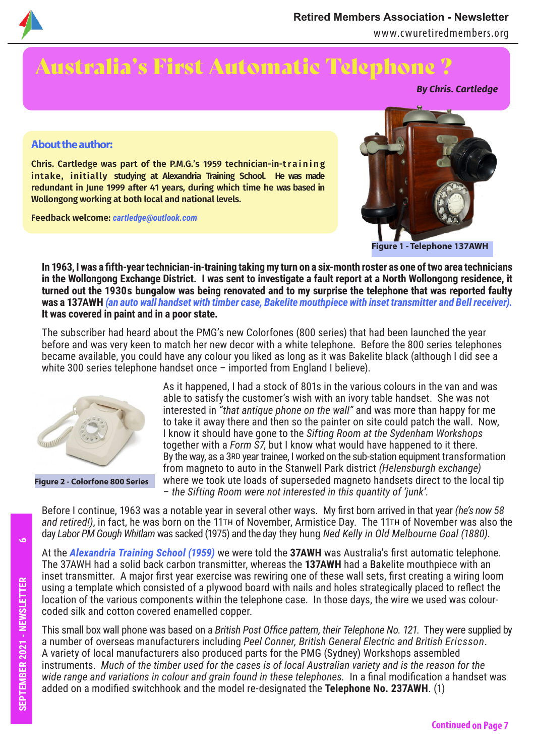

# Australia's First Automatic Telephone ?

*By Chris. Cartledge*

#### **About the author:**

**Chris. Cartledge was part of the P.M.G.'s 1959 technician-in-t r a i n i n g intake, initially studying at Alexandria Training School. He was made redundant in June 1999 after 41 years, during which time he was based in Wollongong working at both local and national levels.** 

**Feedback welcome:** *cartledge@outlook.com* 



**In 1963, I was a fifth-year technician-in-training taking my turn on a six-month roster as one of two area technicians in the Wollongong Exchange District. I was sent to investigate a fault report at a North Wollongong residence, it turned out the 1930s bungalow was being renovated and to my surprise the telephone that was reported faulty was a 137AWH** *(an auto wall handset with timber case, Bakelite mouthpiece with inset transmitter and Bell receiver).*

**It was covered in paint and in a poor state.**

The subscriber had heard about the PMG's new Colorfones (800 series) that had been launched the year before and was very keen to match her new decor with a white telephone. Before the 800 series telephones became available, you could have any colour you liked as long as it was Bakelite black (although I did see a white 300 series telephone handset once – imported from England I believe).



**Figure 2 - Colorfone 800 Series**

As it happened, I had a stock of 801s in the various colours in the van and was able to satisfy the customer's wish with an ivory table handset. She was not interested in *"that antique phone on the wall"* and was more than happy for me to take it away there and then so the painter on site could patch the wall. Now, I know it should have gone to the *Sifting Room at the Sydenham Workshops* together with a *Form S7*, but I know what would have happened to it there. By the way, as a 3RD year trainee, I worked on the sub-station equipment transformation from magneto to auto in the Stanwell Park district *(Helensburgh exchange)* where we took ute loads of superseded magneto handsets direct to the local tip – *the Sifting Room were not interested in this quantity of 'junk'.*

Before I continue, 1963 was a notable year in several other ways. My first born arrived in that year *(he's now 58 and retired!)*, in fact, he was born on the 11TH of November, Armistice Day. The 11TH of November was also the day *Labor PM Gough Whitlam* was sacked (1975) and the day they hung *Ned Kelly in Old Melbourne Goal (1880)*.

At the *Alexandria Training School (1959)* we were told the **37AWH** was Australia's first automatic telephone. The 37AWH had a solid back carbon transmitter, whereas the **137AWH** had a Bakelite mouthpiece with an inset transmitter. A major first year exercise was rewiring one of these wall sets, first creating a wiring loom using a template which consisted of a plywood board with nails and holes strategically placed to reflect the location of the various components within the telephone case. In those days, the wire we used was colourcoded silk and cotton covered enamelled copper.

This small box wall phone was based on a *British Post Office pattern, their Telephone No. 121*. They were supplied by a number of overseas manufacturers including *Peel Conner, British General Electric and British Ericsson*. A variety of local manufacturers also produced parts for the PMG (Sydney) Workshops assembled instruments. *Much of the timber used for the cases is of local Australian variety and is the reason for the wide range and variations in colour and grain found in these telephones.* In a final modification a handset was added on a modified switchhook and the model re-designated the **Telephone No. 237AWH**. (1)

ما